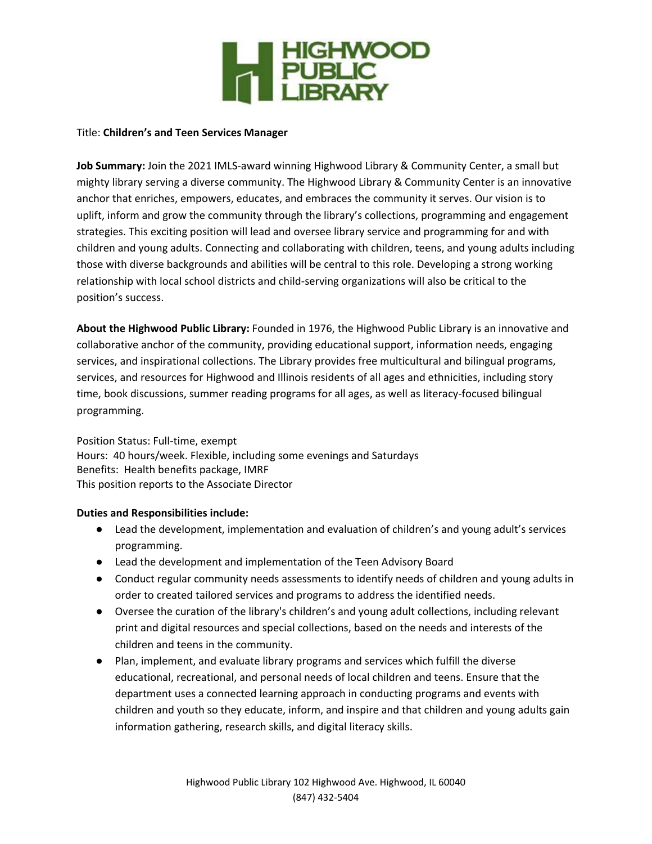

### Title: **Children's and Teen Services Manager**

**Job Summary:** Join the 2021 IMLS-award winning Highwood Library & Community Center, a small but mighty library serving a diverse community. The Highwood Library & Community Center is an innovative anchor that enriches, empowers, educates, and embraces the community it serves. Our vision is to uplift, inform and grow the community through the library's collections, programming and engagement strategies. This exciting position will lead and oversee library service and programming for and with children and young adults. Connecting and collaborating with children, teens, and young adults including those with diverse backgrounds and abilities will be central to this role. Developing a strong working relationship with local school districts and child-serving organizations will also be critical to the position's success.

**About the Highwood Public Library:** Founded in 1976, the Highwood Public Library is an innovative and collaborative anchor of the community, providing educational support, information needs, engaging services, and inspirational collections. The Library provides free multicultural and bilingual programs, services, and resources for Highwood and Illinois residents of all ages and ethnicities, including story time, book discussions, summer reading programs for all ages, as well as literacy-focused bilingual programming.

Position Status: Full-time, exempt Hours: 40 hours/week. Flexible, including some evenings and Saturdays Benefits: Health benefits package, IMRF This position reports to the Associate Director

## **Duties and Responsibilities include:**

- Lead the development, implementation and evaluation of children's and young adult's services programming.
- Lead the development and implementation of the Teen Advisory Board
- Conduct regular community needs assessments to identify needs of children and young adults in order to created tailored services and programs to address the identified needs.
- Oversee the curation of the library's children's and young adult collections, including relevant print and digital resources and special collections, based on the needs and interests of the children and teens in the community.
- Plan, implement, and evaluate library programs and services which fulfill the diverse educational, recreational, and personal needs of local children and teens. Ensure that the department uses a connected learning approach in conducting programs and events with children and youth so they educate, inform, and inspire and that children and young adults gain information gathering, research skills, and digital literacy skills.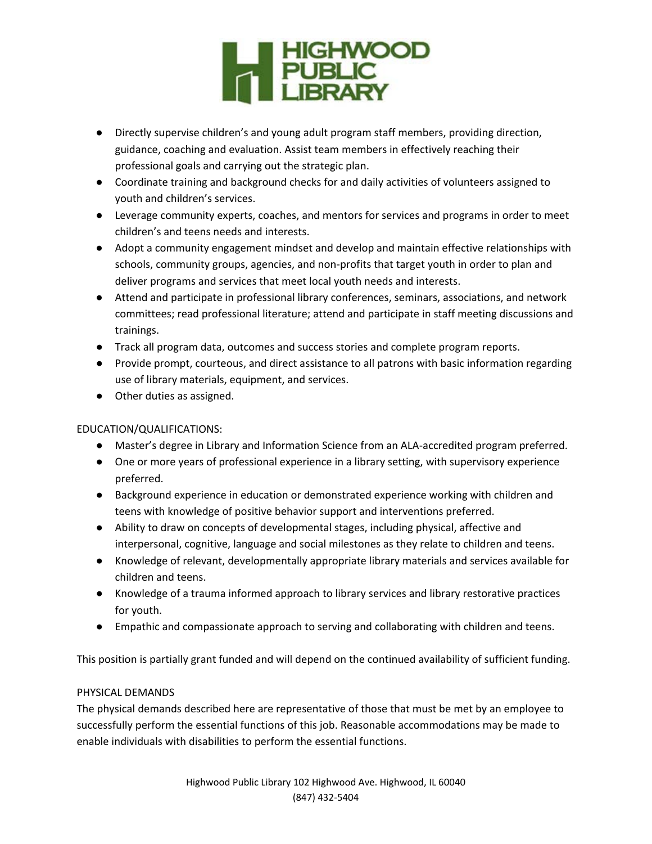

- Directly supervise children's and young adult program staff members, providing direction, guidance, coaching and evaluation. Assist team members in effectively reaching their professional goals and carrying out the strategic plan.
- Coordinate training and background checks for and daily activities of volunteers assigned to youth and children's services.
- Leverage community experts, coaches, and mentors for services and programs in order to meet children's and teens needs and interests.
- Adopt a community engagement mindset and develop and maintain effective relationships with schools, community groups, agencies, and non-profits that target youth in order to plan and deliver programs and services that meet local youth needs and interests.
- Attend and participate in professional library conferences, seminars, associations, and network committees; read professional literature; attend and participate in staff meeting discussions and trainings.
- Track all program data, outcomes and success stories and complete program reports.
- Provide prompt, courteous, and direct assistance to all patrons with basic information regarding use of library materials, equipment, and services.
- Other duties as assigned.

# EDUCATION/QUALIFICATIONS:

- Master's degree in Library and Information Science from an ALA-accredited program preferred.
- One or more years of professional experience in a library setting, with supervisory experience preferred.
- Background experience in education or demonstrated experience working with children and teens with knowledge of positive behavior support and interventions preferred.
- Ability to draw on concepts of developmental stages, including physical, affective and interpersonal, cognitive, language and social milestones as they relate to children and teens.
- Knowledge of relevant, developmentally appropriate library materials and services available for children and teens.
- Knowledge of a trauma informed approach to library services and library restorative practices for youth.
- Empathic and compassionate approach to serving and collaborating with children and teens.

This position is partially grant funded and will depend on the continued availability of sufficient funding.

# PHYSICAL DEMANDS

The physical demands described here are representative of those that must be met by an employee to successfully perform the essential functions of this job. Reasonable accommodations may be made to enable individuals with disabilities to perform the essential functions.